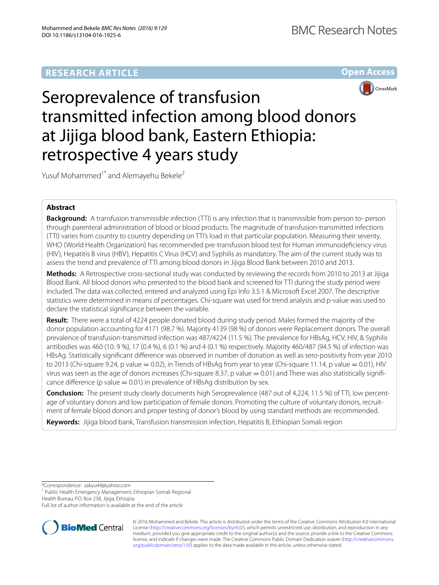# **RESEARCH ARTICLE**



CrossMark



Yusuf Mohammed<sup>1\*</sup> and Alemayehu Bekele<sup>2</sup>

## **Abstract**

**Background:** A transfusion transmissible infection (TTI) is any infection that is transmissible from person to- person through parenteral administration of blood or blood products. The magnitude of transfusion-transmitted infections (TTI) varies from country to country depending on TTI's load in that particular population. Measuring their severity, WHO (World Health Organization) has recommended pre-transfusion blood test for Human immunodeficiency virus (HIV), Hepatitis B virus (HBV), Hepatitis C Virus (HCV) and Syphilis as mandatory. The aim of the current study was to assess the trend and prevalence of TTI among blood donors in Jijiga Blood Bank between 2010 and 2013.

**Methods:** A Retrospective cross-sectional study was conducted by reviewing the records from 2010 to 2013 at Jijiga Blood Bank. All blood donors who presented to the blood bank and screened for TTI during the study period were included. The data was collected, entered and analyzed using Epi Info 3.5.1 & Microsoft Excel 2007. The descriptive statistics were determined in means of percentages. Chi-square was used for trend analysis and p-value was used to declare the statistical significance between the variable.

**Result:** There were a total of 4224 people donated blood during study period. Males formed the majority of the donor population accounting for 4171 (98.7 %). Majority 4139 (98 %) of donors were Replacement donors. The overall prevalence of transfusion-transmitted infection was 487/4224 (11.5 %). The prevalence for HBsAg, HCV, HIV, & Syphilis antibodies was 460 (10. 9 %), 17 (0.4 %), 6 (0.1 %) and 4 (0.1 %) respectively. Majority 460/487 (94.5 %) of infection was HBsAg. Statistically significant difference was observed in number of donation as well as sero-positivity from year 2010 to 2013 (Chi-square 9.24, p value  $= 0.02$ ), in Trends of HBsAg from year to year (Chi-square 11.14, p value  $= 0.01$ ), HIV virus was seen as the age of donors increases (Chi-square 8.37, p value  $= 0.01$ ) and There was also statistically significance difference (p value  $= 0.01$ ) in prevalence of HBsAg distribution by sex.

**Conclusion:** The present study clearly documents high Seroprevalence (487 out of 4,224, 11.5 %) of TTI, low percentage of voluntary donors and low participation of female donors. Promoting the culture of voluntary donors, recruitment of female blood donors and proper testing of donor's blood by using standard methods are recommended.

**Keywords:** Jijiga blood bank, Transfusion transmission infection, Hepatitis B, Ethiopian Somali region

\*Correspondence: zakyu44@yahoo.com

<sup>1</sup> Public Health Emergency Management, Ethiopian Somali Regional

Health Bureau, P.O. Box 238, Jijiga, Ethiopia

Full list of author information is available at the end of the article



© 2016 Mohammed and Bekele. This article is distributed under the terms of the Creative Commons Attribution 4.0 International License (<http://creativecommons.org/licenses/by/4.0/>), which permits unrestricted use, distribution, and reproduction in any medium, provided you give appropriate credit to the original author(s) and the source, provide a link to the Creative Commons license, and indicate if changes were made. The Creative Commons Public Domain Dedication waiver ([http://creativecommons.](http://creativecommons.org/publicdomain/zero/1.0/) [org/publicdomain/zero/1.0/](http://creativecommons.org/publicdomain/zero/1.0/)) applies to the data made available in this article, unless otherwise stated.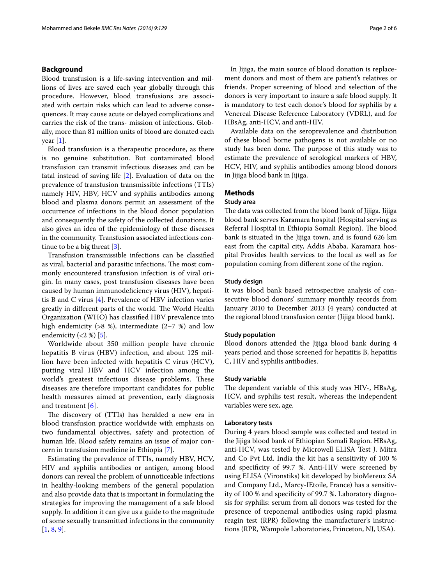### **Background**

Blood transfusion is a life-saving intervention and millions of lives are saved each year globally through this procedure. However, blood transfusions are associated with certain risks which can lead to adverse consequences. It may cause acute or delayed complications and carries the risk of the trans- mission of infections. Globally, more than 81 million units of blood are donated each year [\[1](#page-5-0)].

Blood transfusion is a therapeutic procedure, as there is no genuine substitution. But contaminated blood transfusion can transmit infectious diseases and can be fatal instead of saving life [\[2](#page-5-1)]. Evaluation of data on the prevalence of transfusion transmissible infections (TTIs) namely HIV, HBV, HCV and syphilis antibodies among blood and plasma donors permit an assessment of the occurrence of infections in the blood donor population and consequently the safety of the collected donations. It also gives an idea of the epidemiology of these diseases in the community. Transfusion associated infections continue to be a big threat [\[3](#page-5-2)].

Transfusion transmissible infections can be classified as viral, bacterial and parasitic infections. The most commonly encountered transfusion infection is of viral origin. In many cases, post transfusion diseases have been caused by human immunodeficiency virus (HIV), hepatitis B and C virus [\[4](#page-5-3)]. Prevalence of HBV infection varies greatly in different parts of the world. The World Health Organization (WHO) has classified HBV prevalence into high endemicity ( $>8$  %), intermediate (2–7 %) and low endemicity  $(<2 %)$  [[5\]](#page-5-4).

Worldwide about 350 million people have chronic hepatitis B virus (HBV) infection, and about 125 million have been infected with hepatitis C virus (HCV), putting viral HBV and HCV infection among the world's greatest infectious disease problems. These diseases are therefore important candidates for public health measures aimed at prevention, early diagnosis and treatment [\[6](#page-5-5)].

The discovery of (TTIs) has heralded a new era in blood transfusion practice worldwide with emphasis on two fundamental objectives, safety and protection of human life. Blood safety remains an issue of major concern in transfusion medicine in Ethiopia [\[7\]](#page-5-6).

Estimating the prevalence of TTIs, namely HBV, HCV, HIV and syphilis antibodies or antigen, among blood donors can reveal the problem of unnoticeable infections in healthy-looking members of the general population and also provide data that is important in formulating the strategies for improving the management of a safe blood supply. In addition it can give us a guide to the magnitude of some sexually transmitted infections in the community  $[1, 8, 9].$  $[1, 8, 9].$  $[1, 8, 9].$  $[1, 8, 9].$  $[1, 8, 9].$  $[1, 8, 9].$ 

In Jijiga, the main source of blood donation is replacement donors and most of them are patient's relatives or friends. Proper screening of blood and selection of the donors is very important to insure a safe blood supply. It is mandatory to test each donor's blood for syphilis by a Venereal Disease Reference Laboratory (VDRL), and for HBsAg, anti-HCV, and anti-HIV.

Available data on the seroprevalence and distribution of these blood borne pathogens is not available or no study has been done. The purpose of this study was to estimate the prevalence of serological markers of HBV, HCV, HIV, and syphilis antibodies among blood donors in Jijiga blood bank in Jijiga.

### **Methods**

### **Study area**

The data was collected from the blood bank of Jijiga. Jijiga blood bank serves Karamara hospital (Hospital serving as Referral Hospital in Ethiopia Somali Region). The blood bank is situated in the Jijiga town, and is found 626 km east from the capital city, Addis Ababa. Karamara hospital Provides health services to the local as well as for population coming from different zone of the region.

#### **Study design**

It was blood bank based retrospective analysis of consecutive blood donors' summary monthly records from January 2010 to December 2013 (4 years) conducted at the regional blood transfusion center (Jijiga blood bank).

#### **Study population**

Blood donors attended the Jijiga blood bank during 4 years period and those screened for hepatitis B, hepatitis C, HIV and syphilis antibodies.

#### **Study variable**

The dependent variable of this study was HIV-, HBsAg, HCV, and syphilis test result, whereas the independent variables were sex, age.

#### **Laboratory tests**

During 4 years blood sample was collected and tested in the Jijiga blood bank of Ethiopian Somali Region. HBsAg, anti-HCV, was tested by Microwell ELISA Test J. Mitra and Co Pvt Ltd. India the kit has a sensitivity of 100 % and specificity of 99.7 %. Anti-HIV were screened by using ELISA (Vironstiks) kit developed by bioMereux SA and Company Ltd., Marcy-IEtoile, France) has a sensitivity of 100 % and specificity of 99.7 %. Laboratory diagnosis for syphilis: serum from all donors was tested for the presence of treponemal antibodies using rapid plasma reagin test (RPR) following the manufacturer's instructions (RPR, Wampole Laboratories, Princeton, NJ, USA).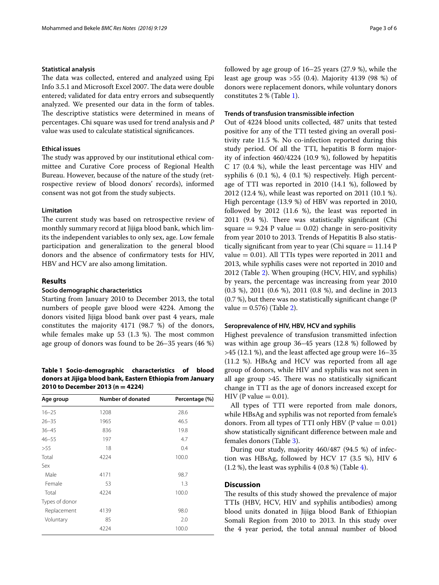#### **Statistical analysis**

The data was collected, entered and analyzed using Epi Info 3.5.1 and Microsoft Excel 2007. The data were double entered; validated for data entry errors and subsequently analyzed. We presented our data in the form of tables. The descriptive statistics were determined in means of percentages. Chi square was used for trend analysis and *P* value was used to calculate statistical significances.

### **Ethical issues**

The study was approved by our institutional ethical committee and Curative Core process of Regional Health Bureau. However, because of the nature of the study (retrospective review of blood donors' records), informed consent was not got from the study subjects.

### **Limitation**

The current study was based on retrospective review of monthly summary record at Jijiga blood bank, which limits the independent variables to only sex, age. Low female participation and generalization to the general blood donors and the absence of confirmatory tests for HIV, HBV and HCV are also among limitation.

### **Results**

#### **Socio demographic characteristics**

Starting from January 2010 to December 2013, the total numbers of people gave blood were 4224. Among the donors visited Jijiga blood bank over past 4 years, male constitutes the majority 4171 (98.7 %) of the donors, while females make up 53 (1.3 %). The most common age group of donors was found to be 26–35 years (46 %)

### <span id="page-2-0"></span>**Table 1 Socio-demographic characteristics of blood donors at Jijiga blood bank, Eastern Ethiopia from January 2010 to December 2013 (n = 4224)**

| Age group      | <b>Number of donated</b> | Percentage (%) |  |  |
|----------------|--------------------------|----------------|--|--|
| $16 - 25$      | 1208                     | 28.6           |  |  |
| $26 - 35$      | 1965                     | 46.5           |  |  |
| $36 - 45$      | 836                      | 19.8           |  |  |
| $46 - 55$      | 197                      | 4.7            |  |  |
| >55            | 18                       | 0.4            |  |  |
| Total          | 4224                     | 100.0          |  |  |
| Sex            |                          |                |  |  |
| Male           | 4171                     | 98.7           |  |  |
| Female         | 53                       | 1.3            |  |  |
| Total          | 4224                     | 100.0          |  |  |
| Types of donor |                          |                |  |  |
| Replacement    | 4139                     | 98.0           |  |  |
| Voluntary      | 85                       | 2.0            |  |  |
|                | 4224                     | 100.0          |  |  |

followed by age group of 16–25 years (27.9 %), while the least age group was >55 (0.4). Majority 4139 (98 %) of donors were replacement donors, while voluntary donors constitutes 2 % (Table [1\)](#page-2-0).

### **Trends of transfusion transmissible infection**

Out of 4224 blood units collected, 487 units that tested positive for any of the TTI tested giving an overall positivity rate 11.5 %. No co-infection reported during this study period. Of all the TTI, hepatitis B form majority of infection 460/4224 (10.9 %), followed by hepatitis C 17 (0.4 %), while the least percentage was HIV and syphilis 6  $(0.1 \%)$ , 4  $(0.1 \%)$  respectively. High percentage of TTI was reported in 2010 (14.1 %), followed by 2012 (12.4 %), while least was reported on 2011 (10.1 %). High percentage (13.9 %) of HBV was reported in 2010, followed by 2012 (11.6 %), the least was reported in 2011 (9.4 %). There was statistically significant (Chi square  $= 9.24$  P value  $= 0.02$ ) change in sero-positivity from year 2010 to 2013. Trends of Hepatitis B also statistically significant from year to year (Chi square  $= 11.14$  P value  $= 0.01$ ). All TTIs types were reported in 2011 and 2013, while syphilis cases were not reported in 2010 and 2012 (Table [2](#page-3-0)). When grouping (HCV, HIV, and syphilis) by years, the percentage was increasing from year 2010 (0.3 %), 2011 (0.6 %), 2011 (0.8 %), and decline in 2013 (0.7 %), but there was no statistically significant change (P  $value = 0.576$  (Table [2\)](#page-3-0).

### **Seroprevalence of HIV, HBV, HCV and syphilis**

Highest prevalence of transfusion transmitted infection was within age group 36–45 years (12.8 %) followed by >45 (12.1 %), and the least affected age group were 16–35 (11.2 %). HBsAg and HCV was reported from all age group of donors, while HIV and syphilis was not seen in all age group >45. There was no statistically significant change in TTI as the age of donors increased except for HIV (P value  $= 0.01$ ).

All types of TTI were reported from male donors, while HBsAg and syphilis was not reported from female's donors. From all types of TTI only HBV (P value  $= 0.01$ ) show statistically significant difference between male and females donors (Table [3\)](#page-3-1).

During our study, majority 460/487 (94.5 %) of infection was HBsAg, followed by HCV 17 (3.5 %), HIV 6  $(1.2 \%)$ , the least was syphilis [4](#page-3-2)  $(0.8 \%)$  (Table 4).

### **Discussion**

The results of this study showed the prevalence of major TTIs (HBV, HCV, HIV and syphilis antibodies) among blood units donated in Jijiga blood Bank of Ethiopian Somali Region from 2010 to 2013. In this study over the 4 year period, the total annual number of blood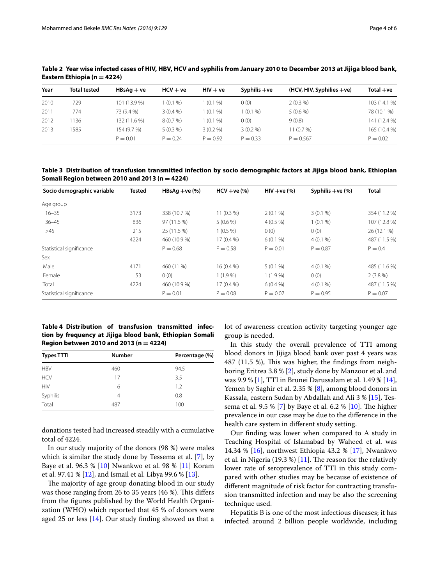| Year | <b>Total tested</b> | $HBSAq + ve$ | $HCV + ve$ | $HIV + ve$  | Syphilis $+ve$ | (HCV, HIV, Syphilies +ve) | Total $+ve$  |
|------|---------------------|--------------|------------|-------------|----------------|---------------------------|--------------|
| 2010 | 729                 | 101 (13.9 %) | $(0.1\% )$ | 1 (0.1 %)   | 0(0)           | $2(0.3\%)$                | 103 (14.1 %) |
| 2011 | 774                 | 73 (9.4 %)   | $3(0.4\%)$ | 1 (0.1 %)   | $(0.1\% )$     | $5(0.6\%)$                | 78 (10.1 %)  |
| 2012 | 136                 | 132 (11.6 %) | 8(0.7%)    | $(0.1\% )$  | 0(0)           | 9(0.8)                    | 141 (12.4 %) |
| 2013 | 585                 | 154 (9.7 %)  | $5(0.3\%)$ | $3(0.2\% )$ | $3(0.2\%)$     | 11(0.7%)                  | 165 (10.4 %) |
|      |                     | $P = 0.01$   | $P = 0.24$ | $P = 0.92$  | $P = 0.33$     | $P = 0.567$               | $P = 0.02$   |

<span id="page-3-0"></span>**Table 2 Year wise infected cases of HIV, HBV, HCV and syphilis from January 2010 to December 2013 at Jijiga blood bank, Eastern Ethiopia (n = 4224)**

<span id="page-3-1"></span>**Table 3 Distribution of transfusion transmitted infection by socio demographic factors at Jijiga blood bank, Ethiopian Somali Region between 2010 and 2013 (n = 4224)**

| Socio demographic variable | <b>Tested</b> | HBsAq $+ve$ (%) | $HCV + ve$ (%) | $HIV + ve (%)$ | Syphilis $+ve(%)$ | <b>Total</b> |
|----------------------------|---------------|-----------------|----------------|----------------|-------------------|--------------|
| Age group                  |               |                 |                |                |                   |              |
| $16 - 35$                  | 3173          | 338 (10.7 %)    | $11(0.3\%)$    | 2(0.1%         | 3(0.1%            | 354 (11.2 %) |
| $36 - 45$                  | 836           | $97(11.6\%)$    | $5(0.6\%)$     | $4(0.5\%)$     | $1(0.1\%)$        | 107 (12.8 %) |
| >45                        | 215           | $25(11.6\%)$    | $1(0.5\%)$     | 0(0)           | 0(0)              | 26 (12.1 %)  |
|                            | 4224          | 460 (10.9 %)    | $17(0.4\%)$    | $6(0.1\%)$     | 4(0.1%            | 487 (11.5 %) |
| Statistical significance   |               | $P = 0.68$      | $P = 0.58$     | $P = 0.01$     | $P = 0.87$        | $P = 0.4$    |
| Sex                        |               |                 |                |                |                   |              |
| Male                       | 4171          | 460 (11 %)      | $16(0.4\%)$    | 5(0.1%         | 4(0.1%            | 485 (11.6 %) |
| Female                     | 53            | 0(0)            | $1(1.9\%)$     | $1(1.9\%)$     | 0(0)              | $2(3.8\%)$   |
| Total                      | 4224          | 460 (10.9 %)    | $17(0.4\%)$    | $6(0.4\%)$     | 4(0.1%            | 487 (11.5 %) |
| Statistical significance   |               | $P = 0.01$      | $P = 0.08$     | $P = 0.07$     | $P = 0.95$        | $P = 0.07$   |

<span id="page-3-2"></span>**Table 4 Distribution of transfusion transmitted infection by frequency at Jijiga blood bank, Ethiopian Somali Region between 2010 and 2013 (n = 4224)**

| <b>Types TTTI</b> | <b>Number</b> | Percentage (%) |  |
|-------------------|---------------|----------------|--|
| <b>HBV</b>        | 460           | 94.5           |  |
| <b>HCV</b>        | 17            | 3.5            |  |
| <b>HIV</b>        | 6             | 1.2            |  |
| Syphilis          | 4             | 0.8            |  |
| Total             | 487           | 100            |  |

donations tested had increased steadily with a cumulative total of 4224.

In our study majority of the donors (98 %) were males which is similar the study done by Tessema et al. [\[7](#page-5-6)], by Baye et al. 96.3 % [[10\]](#page-5-9) Nwankwo et al. 98 % [\[11](#page-5-10)] Koram et al. 97.41 % [[12\]](#page-5-11), and Ismail et al. Libya 99.6 % [\[13](#page-5-12)].

The majority of age group donating blood in our study was those ranging from 26 to 35 years (46 %). This differs from the figures published by the World Health Organization (WHO) which reported that 45 % of donors were aged 25 or less [[14\]](#page-5-13). Our study finding showed us that a lot of awareness creation activity targeting younger age group is needed.

In this study the overall prevalence of TTI among blood donors in Jijiga blood bank over past 4 years was 487 (11.5 %), This was higher, the findings from neighboring Eritrea 3.8 % [[2\]](#page-5-1), study done by Manzoor et al. and was 9.9 % [[1\]](#page-5-0), TTI in Brunei Darussalam et al. 1.49 % [\[14](#page-5-13)], Yemen by Saghir et al. 2.35 % [[8\]](#page-5-7), among blood donors in Kassala, eastern Sudan by Abdallah and Ali 3 % [\[15](#page-5-14)], Tessema et al. 9.5 % [\[7](#page-5-6)] by Baye et al. 6.2 % [[10\]](#page-5-9). The higher prevalence in our case may be due to the difference in the health care system in different study setting.

Our finding was lower when compared to A study in Teaching Hospital of Islamabad by Waheed et al. was 14.34 % [\[16](#page-5-15)], northwest Ethiopia 43.2 % [\[17](#page-5-16)], Nwankwo et al. in Nigeria (19.3 %) [\[11](#page-5-10)]. The reason for the relatively lower rate of seroprevalence of TTI in this study compared with other studies may be because of existence of different magnitude of risk factor for contracting transfusion transmitted infection and may be also the screening technique used.

Hepatitis B is one of the most infectious diseases; it has infected around 2 billion people worldwide, including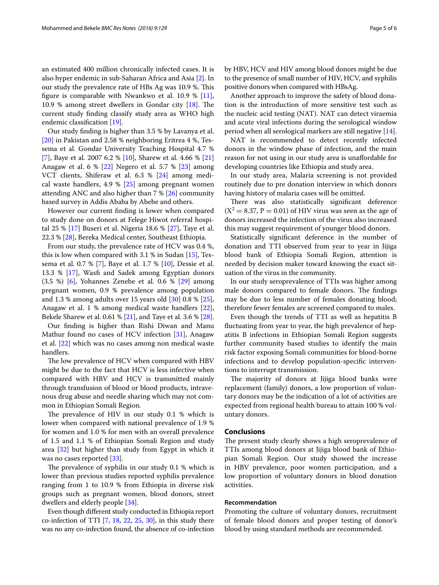an estimated 400 million chronically infected cases. It is also hyper endemic in sub-Saharan Africa and Asia [\[2](#page-5-1)]. In our study the prevalence rate of HBs Ag was 10.9 %. This figure is comparable with Nwankwo et al.  $10.9 % [11]$  $10.9 % [11]$  $10.9 % [11]$ , 10.9 % among street dwellers in Gondar city [[18\]](#page-5-17). The current study finding classify study area as WHO high endemic classification [\[19\]](#page-5-18).

Our study finding is higher than 3.5 % by Lavanya et al. [[20\]](#page-5-19) in Pakistan and 2.58 % neighboring Eritrea 4 %, Tessema et al. Gondar University Teaching Hospital 4.7 % [[7\]](#page-5-6), Baye et al. 2007 6.2 % [[10\]](#page-5-9), Sharew et al. 4.66 % [[21](#page-5-20)] Anagaw et al. 6 % [[22](#page-5-21)] Negero et al. 5.7 % [[23\]](#page-5-22) among VCT clients, Shiferaw et al. 6.3 % [\[24](#page-5-23)] among medical waste handlers,  $4.9 \%$  [[25\]](#page-5-24) among pregnant women attending ANC and also higher than 7 % [[26\]](#page-5-25) community based survey in Addis Ababa by Abebe and others.

However our current finding is lower when compared to study done on donors at Felege Hiwot referral hospital 25 % [[17\]](#page-5-16) Buseri et al. Nigeria 18.6 % [\[27](#page-5-26)], Taye et al. 22.3 % [\[28](#page-5-27)], Bereka Medical center, Southeast Ethiopia.

From our study, the prevalence rate of HCV was 0.4 %, this is low when compared with 3.1 % in Sudan [\[15](#page-5-14)], Tessema et al. 0.7 % [\[7](#page-5-6)], Baye et al. 1.7 % [[10\]](#page-5-9), Dessie et al. 13.3 % [[17\]](#page-5-16), Wasfi and Sadek among Egyptian donors (3.5 %) [\[6](#page-5-5)], Yohannes Zenebe et al. 0.6 % [\[29\]](#page-5-28) among pregnant women, 0.9 % prevalence among population and 1.3 % among adults over 15 years old [\[30](#page-5-29)] 0.8 % [\[25](#page-5-24)], Anagaw et al. 1 % among medical waste handlers [\[22](#page-5-21)], Bekele Sharew et al. 0.61 % [\[21\]](#page-5-20), and Taye et al. 3.6 % [\[28](#page-5-27)].

Our finding is higher than Rishi Diwan and Manu Mathur found no cases of HCV infection [[31\]](#page-5-30), Anagaw et al. [[22\]](#page-5-21) which was no cases among non medical waste handlers.

The low prevalence of HCV when compared with HBV might be due to the fact that HCV is less infective when compared with HBV and HCV is transmitted mainly through transfusion of blood or blood products, intravenous drug abuse and needle sharing which may not common in Ethiopian Somali Region.

The prevalence of HIV in our study 0.1 % which is lower when compared with national prevalence of 1.9 % for women and 1.0 % for men with an overall prevalence of 1.5 and 1.1 % of Ethiopian Somali Region and study area [[32\]](#page-5-31) but higher than study from Egypt in which it was no cases reported [\[33\]](#page-5-32).

The prevalence of syphilis in our study 0.1 % which is lower than previous studies reported syphilis prevalence ranging from 1 to 10.9 % from Ethiopia in diverse risk groups such as pregnant women, blood donors, street dwellers and elderly people [[34\]](#page-5-33).

Even though different study conducted in Ethiopia report co-infection of TTI  $[7, 18, 22, 25, 30]$  $[7, 18, 22, 25, 30]$  $[7, 18, 22, 25, 30]$  $[7, 18, 22, 25, 30]$  $[7, 18, 22, 25, 30]$  $[7, 18, 22, 25, 30]$  $[7, 18, 22, 25, 30]$  $[7, 18, 22, 25, 30]$  $[7, 18, 22, 25, 30]$  $[7, 18, 22, 25, 30]$ , in this study there was no any co-infection found, the absence of co-infection by HBV, HCV and HIV among blood donors might be due to the presence of small number of HIV, HCV, and syphilis positive donors when compared with HBsAg.

Another approach to improve the safety of blood donation is the introduction of more sensitive test such as the nucleic acid testing (NAT). NAT can detect viraemia and acute viral infections during the serological window period when all serological markers are still negative [\[14](#page-5-13)].

NAT is recommended to detect recently infected donors in the window phase of infection, and the main reason for not using in our study area is unaffordable for developing countries like Ethiopia and study area.

In our study area, Malaria screening is not provided routinely due to pre donation interview in which donors having history of malaria cases will be omitted.

There was also statistically significant deference  $(X^2 = 8.37, P = 0.01)$  of HIV virus was seen as the age of donors increased the infection of the virus also increased this may suggest requirement of younger blood donors.

Statistically significant deference in the number of donation and TTI observed from year to year in Jijiga blood bank of Ethiopia Somali Region, attention is needed by decision maker toward knowing the exact situation of the virus in the community.

In our study seroprevalence of TTIs was higher among male donors compared to female donors. The findings may be due to less number of females donating blood; therefore fewer females are screened compared to males.

Even though the trends of TTI as well as hepatitis B fluctuating from year to year, the high prevalence of hepatitis B infections in Ethiopian Somali Region suggests further community based studies to identify the main risk factor exposing Somali communities for blood-borne infections and to develop population-specific interventions to interrupt transmission.

The majority of donors at Jijiga blood banks were replacement (family) donors, a low proportion of voluntary donors may be the indication of a lot of activities are expected from regional health bureau to attain 100 % voluntary donors.

#### **Conclusions**

The present study clearly shows a high seroprevalence of TTIs among blood donors at Jijiga blood bank of Ethiopian Somali Region. Our study showed the increase in HBV prevalence, poor women participation, and a low proportion of voluntary donors in blood donation activities.

#### **Recommendation**

Promoting the culture of voluntary donors, recruitment of female blood donors and proper testing of donor's blood by using standard methods are recommended.